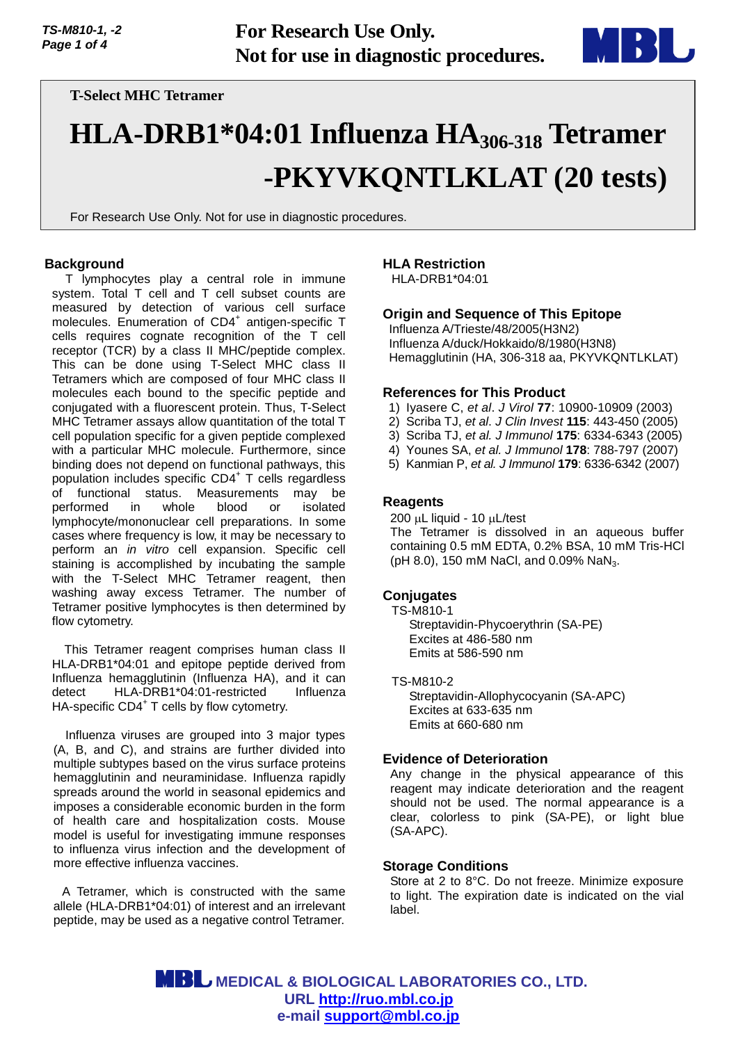

# **T-Select MHC Tetramer**

# **HLA-DRB1\*04:01 Influenza HA306-318 Tetramer -PKYVKQNTLKLAT (20 tests)**

For Research Use Only. Not for use in diagnostic procedures.

#### **Background**

T lymphocytes play a central role in immune system. Total T cell and T cell subset counts are measured by detection of various cell surface molecules. Enumeration of CD4<sup>+</sup> antigen-specific T cells requires cognate recognition of the T cell receptor (TCR) by a class II MHC/peptide complex. This can be done using T-Select MHC class II Tetramers which are composed of four MHC class II molecules each bound to the specific peptide and conjugated with a fluorescent protein. Thus, T-Select MHC Tetramer assays allow quantitation of the total T cell population specific for a given peptide complexed with a particular MHC molecule. Furthermore, since binding does not depend on functional pathways, this population includes specific CD4<sup>+</sup> T cells regardless of functional status. Measurements may be performed in whole blood or isolated lymphocyte/mononuclear cell preparations. In some cases where frequency is low, it may be necessary to perform an *in vitro* cell expansion. Specific cell staining is accomplished by incubating the sample with the T-Select MHC Tetramer reagent, then washing away excess Tetramer. The number of Tetramer positive lymphocytes is then determined by flow cytometry.

This Tetramer reagent comprises human class II HLA-DRB1\*04:01 and epitope peptide derived from Influenza hemagglutinin (Influenza HA), and it can detect HLA-DRB1\*04:01-restricted Influenza HA-specific CD4<sup>+</sup> T cells by flow cytometry.

Influenza viruses are grouped into 3 major types (A, B, and C), and strains are further divided into multiple subtypes based on the virus surface proteins hemagglutinin and neuraminidase. Influenza rapidly spreads around the world in seasonal epidemics and imposes a considerable economic burden in the form of health care and hospitalization costs. Mouse model is useful for investigating immune responses to influenza virus infection and the development of more effective influenza vaccines.

A Tetramer, which is constructed with the same allele (HLA-DRB1\*04:01) of interest and an irrelevant peptide, may be used as a negative control Tetramer.

### **HLA Restriction**

HLA-DRB1\*04:01

## **Origin and Sequence of This Epitope**

Influenza A/Trieste/48/2005(H3N2) Influenza A/duck/Hokkaido/8/1980(H3N8) Hemagglutinin (HA, 306-318 aa, PKYVKQNTLKLAT)

#### **References for This Product**

- 1) Iyasere C, *et al*. *J Virol* **77**: 10900-10909 (2003)
- 2) Scriba TJ, *et al*. *J Clin Invest* **115**: 443-450 (2005)
- 3) Scriba TJ, *et al. J Immunol* **175**: 6334-6343 (2005)
- 4) Younes SA, *et al. J Immunol* **178**: 788-797 (2007)
- 5) Kanmian P, *et al. J Immunol* **179**: 6336-6342 (2007)

#### **Reagents**

200 uL liquid - 10 uL/test The Tetramer is dissolved in an aqueous buffer

containing 0.5 mM EDTA, 0.2% BSA, 10 mM Tris-HCl (pH 8.0), 150 mM NaCl, and 0.09% NaN<sub>3</sub>.

#### **Conjugates**

TS-M810-1 Streptavidin-Phycoerythrin (SA-PE) Excites at 486-580 nm Emits at 586-590 nm

TS-M810-2

Streptavidin-Allophycocyanin (SA-APC) Excites at 633-635 nm Emits at 660-680 nm

#### **Evidence of Deterioration**

Any change in the physical appearance of this reagent may indicate deterioration and the reagent should not be used. The normal appearance is a clear, colorless to pink (SA-PE), or light blue (SA-APC).

#### **Storage Conditions**

Store at 2 to 8°C. Do not freeze. Minimize exposure to light. The expiration date is indicated on the vial label.

 **MEDICAL & BIOLOGICAL LABORATORIES CO., LTD. URL [http://ruo.mbl.co.jp](https://ruo.mbl.co.jp/) e-mail [support@mbl.co.jp](mailto:support@mbl.co.jp)**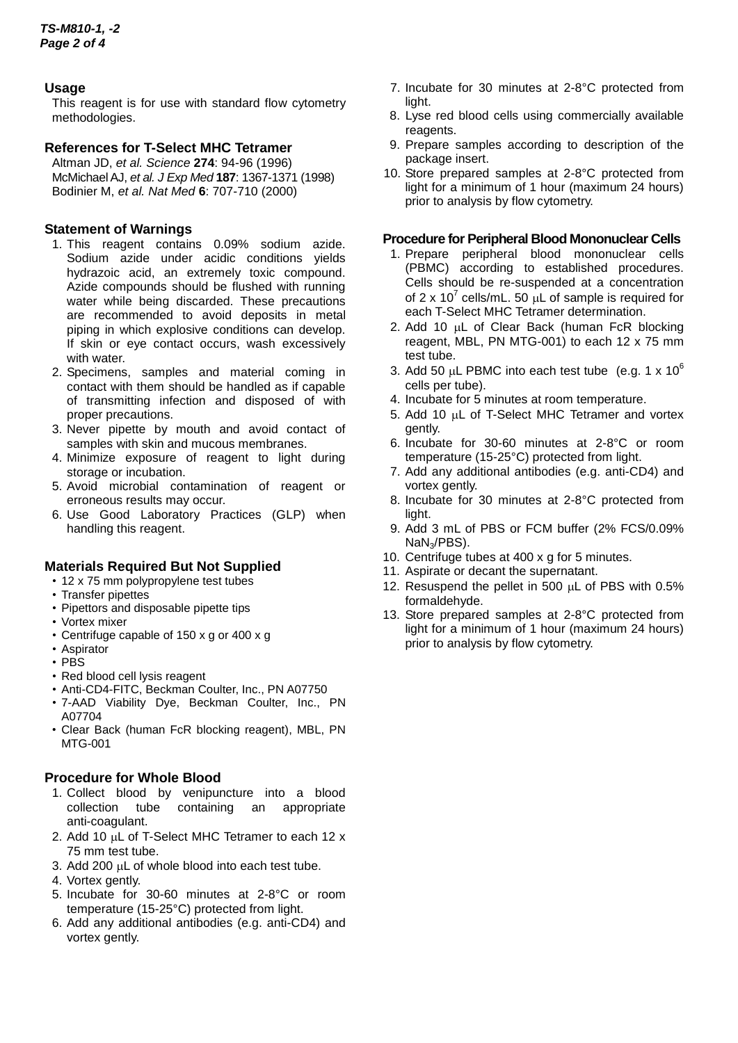# **Usage**

This reagent is for use with standard flow cytometry methodologies.

# **References for T-Select MHC Tetramer**

Altman JD, *et al. Science* **274**: 94-96 (1996) McMichael AJ, *et al. J Exp Med* **187**: 1367-1371 (1998) Bodinier M, *et al. Nat Med* **6**: 707-710 (2000)

# **Statement of Warnings**

- 1. This reagent contains 0.09% sodium azide. Sodium azide under acidic conditions yields hydrazoic acid, an extremely toxic compound. Azide compounds should be flushed with running water while being discarded. These precautions are recommended to avoid deposits in metal piping in which explosive conditions can develop. If skin or eye contact occurs, wash excessively with water.
- 2. Specimens, samples and material coming in contact with them should be handled as if capable of transmitting infection and disposed of with proper precautions.
- 3. Never pipette by mouth and avoid contact of samples with skin and mucous membranes.
- 4. Minimize exposure of reagent to light during storage or incubation.
- 5. Avoid microbial contamination of reagent or erroneous results may occur.
- 6. Use Good Laboratory Practices (GLP) when handling this reagent.

#### **Materials Required But Not Supplied**

- 12 x 75 mm polypropylene test tubes
- Transfer pipettes
- Pipettors and disposable pipette tips
- Vortex mixer
- Centrifuge capable of 150 x g or 400 x g
- Aspirator
- PBS
- Red blood cell lysis reagent
- Anti-CD4-FITC, Beckman Coulter, Inc., PN A07750
- 7-AAD Viability Dye, Beckman Coulter, Inc., PN A07704
- Clear Back (human FcR blocking reagent), MBL, PN MTG-001

#### **Procedure for Whole Blood**

- 1. Collect blood by venipuncture into a blood collection tube containing an appropriate collection tube containing an anti-coagulant.
- 2. Add 10 µL of T-Select MHC Tetramer to each 12 x 75 mm test tube.
- 3. Add 200 µL of whole blood into each test tube.
- 4. Vortex gently.
- 5. Incubate for 30-60 minutes at 2-8°C or room temperature (15-25°C) protected from light.
- 6. Add any additional antibodies (e.g. anti-CD4) and vortex gently.
- 7. Incubate for 30 minutes at 2-8°C protected from light.
- 8. Lyse red blood cells using commercially available reagents.
- 9. Prepare samples according to description of the package insert.
- 10. Store prepared samples at 2-8°C protected from light for a minimum of 1 hour (maximum 24 hours) prior to analysis by flow cytometry.

#### **Procedure for Peripheral Blood Mononuclear Cells**

- 1. Prepare peripheral blood mononuclear cells (PBMC) according to established procedures. Cells should be re-suspended at a concentration of 2 x 10<sup>7</sup> cells/mL. 50  $\mu$ L of sample is required for each T-Select MHC Tetramer determination.
- 2. Add 10  $\mu$ L of Clear Back (human FcR blocking reagent, MBL, PN MTG-001) to each 12 x 75 mm test tube.
- 3. Add 50  $\mu$ L PBMC into each test tube (e.g. 1 x 10<sup>6</sup>) cells per tube).
- 4. Incubate for 5 minutes at room temperature.
- 5. Add 10 µL of T-Select MHC Tetramer and vortex gently.
- 6. Incubate for 30-60 minutes at 2-8°C or room temperature (15-25°C) protected from light.
- 7. Add any additional antibodies (e.g. anti-CD4) and vortex gently.
- 8. Incubate for 30 minutes at 2-8°C protected from light.
- 9. Add 3 mL of PBS or FCM buffer (2% FCS/0.09% NaN3/PBS).
- 10. Centrifuge tubes at 400 x g for 5 minutes.
- 11. Aspirate or decant the supernatant.
- 12. Resuspend the pellet in 500 µL of PBS with 0.5% formaldehyde.
- 13. Store prepared samples at 2-8°C protected from light for a minimum of 1 hour (maximum 24 hours) prior to analysis by flow cytometry.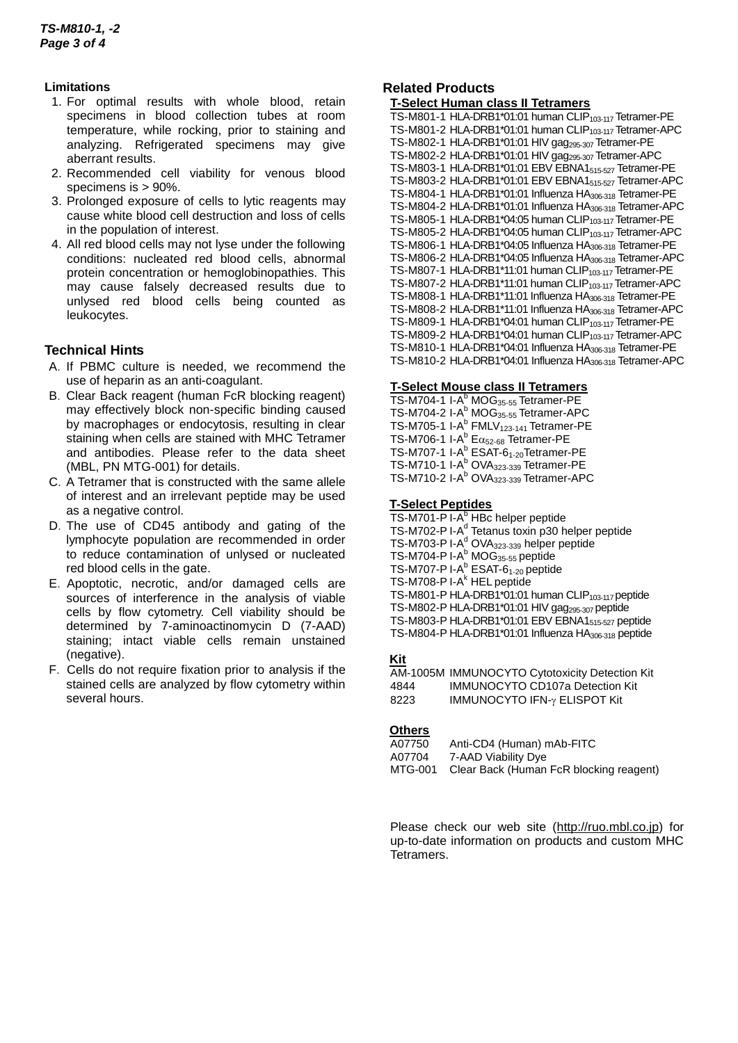#### **Limitations**

- 1. For optimal results with whole blood, retain specimens in blood collection tubes at room temperature, while rocking, prior to staining and analyzing. Refrigerated specimens may give aberrant results.
- 2. Recommended cell viability for venous blood specimens is > 90%.
- 3. Prolonged exposure of cells to lytic reagents may cause white blood cell destruction and loss of cells in the population of interest.
- 4. All red blood cells may not lyse under the following conditions: nucleated red blood cells, abnormal protein concentration or hemoglobinopathies. This may cause falsely decreased results due to unlysed red blood cells being counted as leukocytes.

# **Technical Hints**

- A.If PBMC culture is needed, we recommend the use of heparin as an anti-coagulant.
- B.Clear Back reagent (human FcR blocking reagent) may effectively block non-specific binding caused by macrophages or endocytosis, resulting in clear staining when cells are stained with MHC Tetramer and antibodies. Please refer to the data sheet (MBL, PN MTG-001) for details.
- C.A Tetramer that is constructed with the same allele of interest and an irrelevant peptide may be used as a negative control.
- D.The use of CD45 antibody and gating of the lymphocyte population are recommended in order to reduce contamination of unlysed or nucleated red blood cells in the gate.
- E.Apoptotic, necrotic, and/or damaged cells are sources of interference in the analysis of viable cells by flow cytometry. Cell viability should be determined by 7-aminoactinomycin D (7-AAD) staining; intact viable cells remain unstained (negative).
- F. Cells do not require fixation prior to analysis if the stained cells are analyzed by flow cytometry within several hours.

# **Related Products**

#### **T-Select Human class II Tetramers**

TS-M801-1 HLA-DRB1\*01:01 human CLIP<sub>103-117</sub> Tetramer-PE TS-M801-2 HLA-DRB1\*01:01 human CLIP<sub>103-117</sub> Tetramer-APC TS-M802-1 HLA-DRB1\*01:01 HIV gag<sub>295-307</sub> Tetramer-PE TS-M802-2 HLA-DRB1\*01:01 HIV gag295-307 Tetramer-APC TS-M803-1 HLA-DRB1\*01:01 EBV EBNA1515-527 Tetramer-PE TS-M803-2 HLA-DRB1\*01:01 EBV EBNA1515-527 Tetramer-APC TS-M804-1 HLA-DRB1\*01:01 Influenza HA306-318 Tetramer-PE TS-M804-2 HLA-DRB1\*01:01 Influenza HA<sub>306-318</sub> Tetramer-APC TS-M805-1 HLA-DRB1\*04:05 human CLIP<sub>103-117</sub> Tetramer-PE TS-M805-2 HLA-DRB1\*04:05 human CLIP<sub>103-117</sub> Tetramer-APC TS-M806-1 HLA-DRB1\*04:05 Influenza HA306-318 Tetramer-PE TS-M806-2 HLA-DRB1\*04:05 Influenza HA306-318 Tetramer-APC TS-M807-1 HLA-DRB1\*11:01 human CLIP<sub>103-117</sub> Tetramer-PE TS-M807-2 HLA-DRB1\*11:01 human CLIP<sub>103-117</sub> Tetramer-APC TS-M808-1 HLA-DRB1\*11:01 Influenza HA306-318 Tetramer-PE TS-M808-2 HLA-DRB1\*11:01 Influenza HA306-318 Tetramer-APC TS-M809-1 HLA-DRB1\*04:01 human CLIP<sub>103-117</sub> Tetramer-PE TS-M809-2 HLA-DRB1\*04:01 human CLIP<sub>103-117</sub> Tetramer-APC TS-M810-1 HLA-DRB1\*04:01 Influenza HA306-318 Tetramer-PE TS-M810-2 HLA-DRB1\*04:01 Influenza HA306-318 Tetramer-APC

## **T-Select Mouse class II Tetramers**

TS-M704-1 I-A<sup>b</sup> MOG<sub>35-55</sub> Tetramer-PE TS-M704-2 I-A<sup>b</sup> MOG<sub>35-55</sub> Tetramer-APC TS-M705-1 I-A<sup>b</sup> FMLV<sub>123-141</sub> Tetramer-PE TS-M706-1 I-A $^{\text{b}}$  E $\alpha_{52\text{-}68}$  Tetramer-PE TS-M707-1 I-A<sup>b</sup> ESAT-6<sub>1-20</sub>Tetramer-PE TS-M710-1 I-A<sup>b</sup> OVA<sub>323-339</sub> Tetramer-PE TS-M710-2 I-A<sup>b</sup> OVA<sub>323-339</sub> Tetramer-APC

#### **T-Select Peptides**

TS-M701-P I-A<sup>b</sup> HBc helper peptide TS-M702-P I-A<sup>d</sup> Tetanus toxin p30 helper peptide TS-M703-P I-A<sup>d</sup> OVA<sub>323-339</sub> helper peptide TS-M704-P I-A<sup>b</sup> MOG<sub>35-55</sub> peptide TS-M707-P I-A<sup>b</sup> ESAT-6<sub>1-20</sub> peptide TS-M708-P I-A<sup>k</sup> HEL peptide TS-M801-P HLA-DRB1\*01:01 human CLIP<sub>103-117</sub> peptide TS-M802-P HLA-DRB1\*01:01 HIV gag<sub>295-307</sub> peptide TS-M803-P HLA-DRB1\*01:01 EBV EBNA1515-527 peptide TS-M804-P HLA-DRB1\*01:01 Influenza HA306-318 peptide

# **Kit**

AM-1005M IMMUNOCYTO Cytotoxicity Detection Kit IMMUNOCYTO CD107a Detection Kit 8223 IMMUNOCYTO IFN-y ELISPOT Kit

#### **Others**

| A07750  | Anti-CD4 (Human) mAb-FITC               |
|---------|-----------------------------------------|
| A07704  | 7-AAD Viability Dye                     |
| MTG-001 | Clear Back (Human FcR blocking reagent) |

Please check our web site [\(http://ruo.mbl.co.jp\)](https://ruo.mbl.co.jp/) for up-to-date information on products and custom MHC Tetramers.